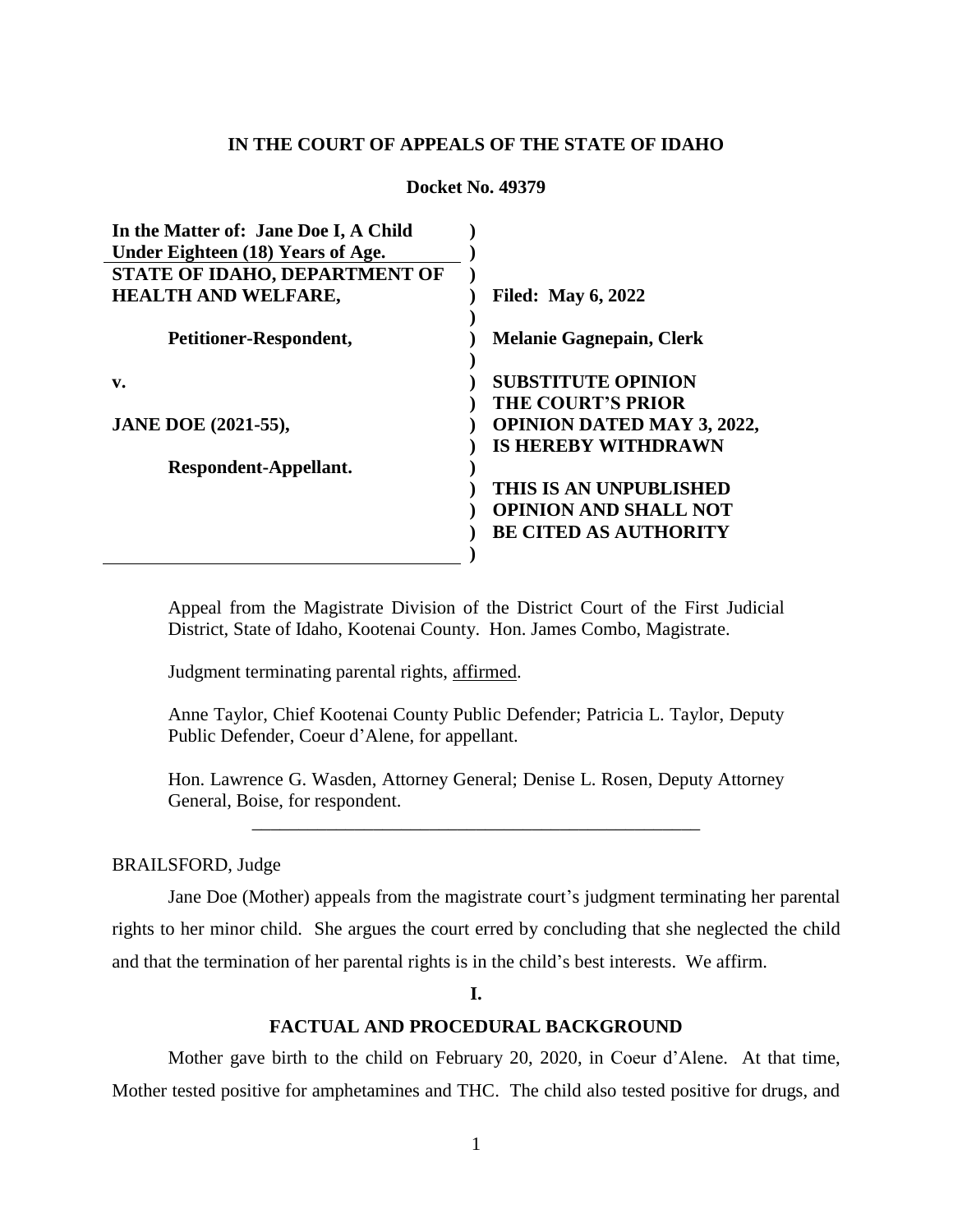# **IN THE COURT OF APPEALS OF THE STATE OF IDAHO**

**Docket No. 49379**

| In the Matter of: Jane Doe I, A Child |                                   |
|---------------------------------------|-----------------------------------|
| Under Eighteen (18) Years of Age.     |                                   |
| STATE OF IDAHO, DEPARTMENT OF         |                                   |
| <b>HEALTH AND WELFARE,</b>            | <b>Filed:</b> May 6, 2022         |
|                                       |                                   |
| <b>Petitioner-Respondent,</b>         | <b>Melanie Gagnepain, Clerk</b>   |
|                                       |                                   |
| v.                                    | <b>SUBSTITUTE OPINION</b>         |
|                                       | <b>THE COURT'S PRIOR</b>          |
| <b>JANE DOE (2021-55),</b>            | <b>OPINION DATED MAY 3, 2022,</b> |
|                                       | <b>IS HEREBY WITHDRAWN</b>        |
| Respondent-Appellant.                 |                                   |
|                                       | THIS IS AN UNPUBLISHED            |
|                                       | <b>OPINION AND SHALL NOT</b>      |
|                                       | <b>BE CITED AS AUTHORITY</b>      |
|                                       |                                   |

Appeal from the Magistrate Division of the District Court of the First Judicial District, State of Idaho, Kootenai County. Hon. James Combo, Magistrate.

Judgment terminating parental rights, affirmed.

Anne Taylor, Chief Kootenai County Public Defender; Patricia L. Taylor, Deputy Public Defender, Coeur d'Alene, for appellant.

Hon. Lawrence G. Wasden, Attorney General; Denise L. Rosen, Deputy Attorney General, Boise, for respondent. \_\_\_\_\_\_\_\_\_\_\_\_\_\_\_\_\_\_\_\_\_\_\_\_\_\_\_\_\_\_\_\_\_\_\_\_\_\_\_\_\_\_\_\_\_\_\_\_

## BRAILSFORD, Judge

Jane Doe (Mother) appeals from the magistrate court's judgment terminating her parental rights to her minor child. She argues the court erred by concluding that she neglected the child and that the termination of her parental rights is in the child's best interests. We affirm.

**I.**

# **FACTUAL AND PROCEDURAL BACKGROUND**

Mother gave birth to the child on February 20, 2020, in Coeur d'Alene. At that time, Mother tested positive for amphetamines and THC. The child also tested positive for drugs, and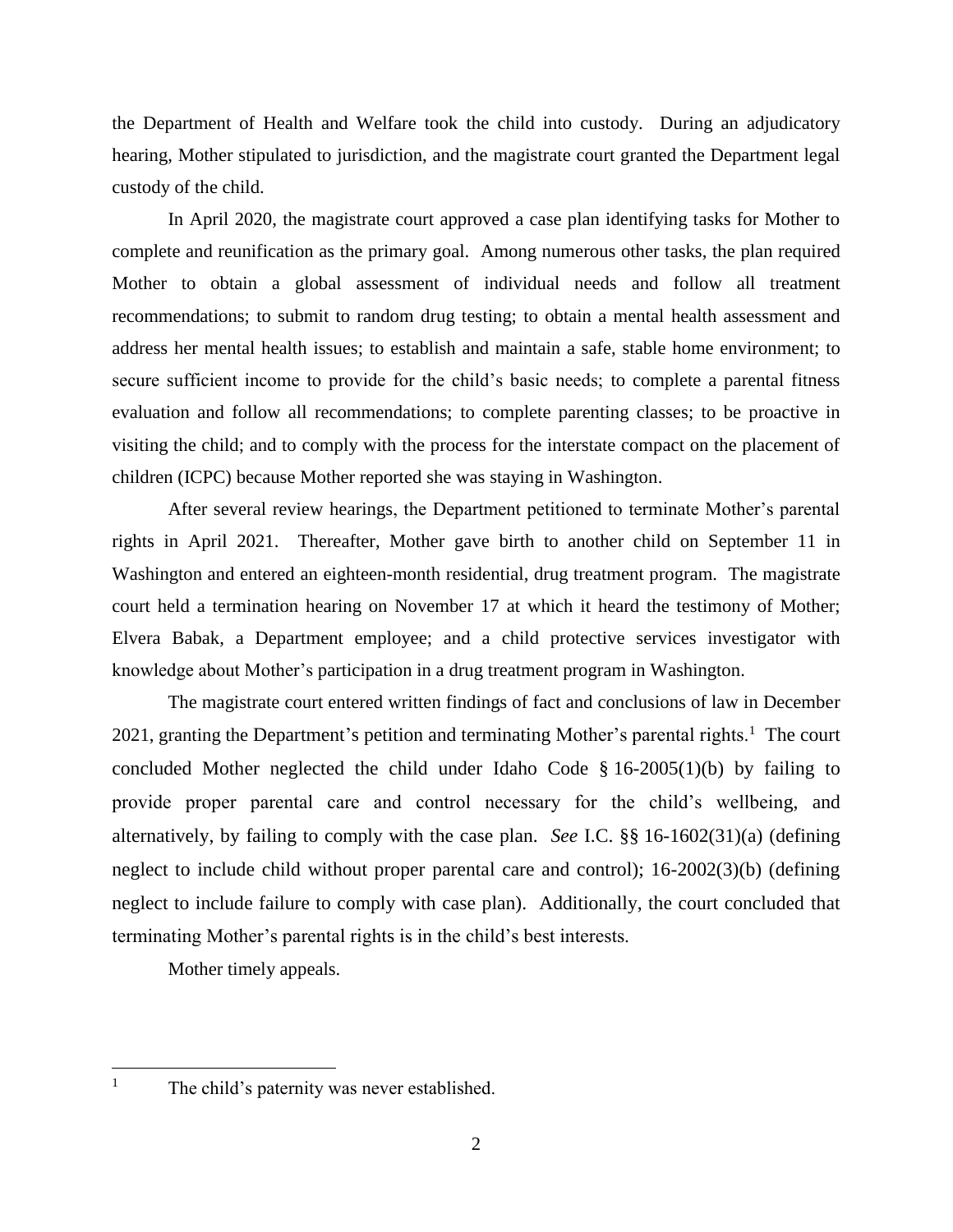the Department of Health and Welfare took the child into custody. During an adjudicatory hearing, Mother stipulated to jurisdiction, and the magistrate court granted the Department legal custody of the child.

In April 2020, the magistrate court approved a case plan identifying tasks for Mother to complete and reunification as the primary goal. Among numerous other tasks, the plan required Mother to obtain a global assessment of individual needs and follow all treatment recommendations; to submit to random drug testing; to obtain a mental health assessment and address her mental health issues; to establish and maintain a safe, stable home environment; to secure sufficient income to provide for the child's basic needs; to complete a parental fitness evaluation and follow all recommendations; to complete parenting classes; to be proactive in visiting the child; and to comply with the process for the interstate compact on the placement of children (ICPC) because Mother reported she was staying in Washington.

After several review hearings, the Department petitioned to terminate Mother's parental rights in April 2021. Thereafter, Mother gave birth to another child on September 11 in Washington and entered an eighteen-month residential, drug treatment program. The magistrate court held a termination hearing on November 17 at which it heard the testimony of Mother; Elvera Babak, a Department employee; and a child protective services investigator with knowledge about Mother's participation in a drug treatment program in Washington.

The magistrate court entered written findings of fact and conclusions of law in December 2021, granting the Department's petition and terminating Mother's parental rights.<sup>1</sup> The court concluded Mother neglected the child under Idaho Code § 16-2005(1)(b) by failing to provide proper parental care and control necessary for the child's wellbeing, and alternatively, by failing to comply with the case plan. *See* I.C. §§ 16-1602(31)(a) (defining neglect to include child without proper parental care and control); 16-2002(3)(b) (defining neglect to include failure to comply with case plan). Additionally, the court concluded that terminating Mother's parental rights is in the child's best interests.

Mother timely appeals.

 $\overline{a}$ 

<sup>&</sup>lt;sup>1</sup> The child's paternity was never established.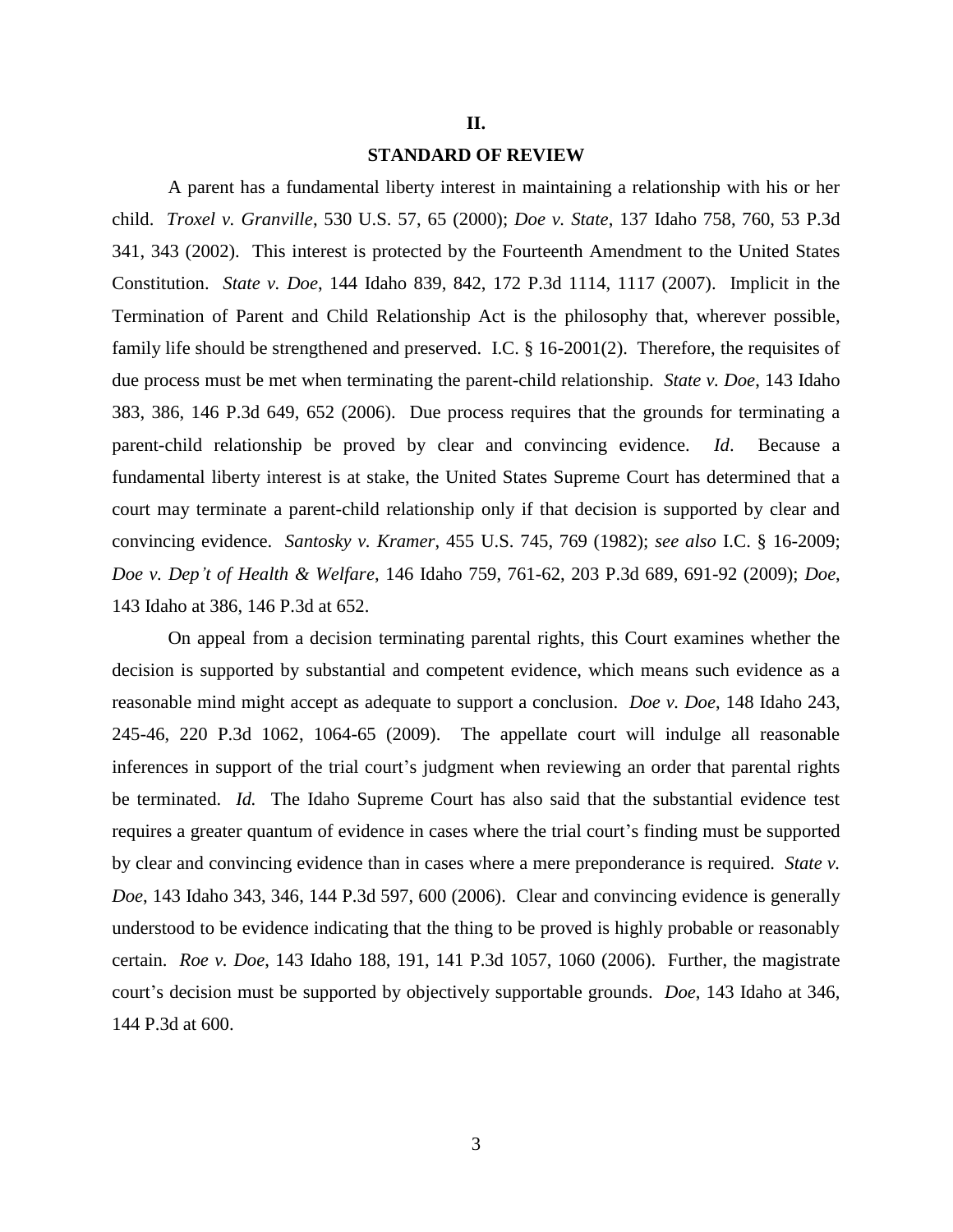#### **II.**

#### **STANDARD OF REVIEW**

A parent has a fundamental liberty interest in maintaining a relationship with his or her child. *Troxel v. Granville*, 530 U.S. 57, 65 (2000); *Doe v. State*, 137 Idaho 758, 760, 53 P.3d 341, 343 (2002). This interest is protected by the Fourteenth Amendment to the United States Constitution. *State v. Doe*, 144 Idaho 839, 842, 172 P.3d 1114, 1117 (2007). Implicit in the Termination of Parent and Child Relationship Act is the philosophy that, wherever possible, family life should be strengthened and preserved. I.C. § 16-2001(2). Therefore, the requisites of due process must be met when terminating the parent-child relationship. *State v. Doe*, 143 Idaho 383, 386, 146 P.3d 649, 652 (2006). Due process requires that the grounds for terminating a parent-child relationship be proved by clear and convincing evidence. *Id*. Because a fundamental liberty interest is at stake, the United States Supreme Court has determined that a court may terminate a parent-child relationship only if that decision is supported by clear and convincing evidence. *Santosky v. Kramer*, 455 U.S. 745, 769 (1982); *see also* I.C. § 16-2009; *Doe v. Dep't of Health & Welfare*, 146 Idaho 759, 761-62, 203 P.3d 689, 691-92 (2009); *Doe*, 143 Idaho at 386, 146 P.3d at 652.

On appeal from a decision terminating parental rights, this Court examines whether the decision is supported by substantial and competent evidence, which means such evidence as a reasonable mind might accept as adequate to support a conclusion. *Doe v. Doe*, 148 Idaho 243, 245-46, 220 P.3d 1062, 1064-65 (2009). The appellate court will indulge all reasonable inferences in support of the trial court's judgment when reviewing an order that parental rights be terminated. *Id.* The Idaho Supreme Court has also said that the substantial evidence test requires a greater quantum of evidence in cases where the trial court's finding must be supported by clear and convincing evidence than in cases where a mere preponderance is required. *State v. Doe*, 143 Idaho 343, 346, 144 P.3d 597, 600 (2006). Clear and convincing evidence is generally understood to be evidence indicating that the thing to be proved is highly probable or reasonably certain. *Roe v. Doe*, 143 Idaho 188, 191, 141 P.3d 1057, 1060 (2006). Further, the magistrate court's decision must be supported by objectively supportable grounds. *Doe*, 143 Idaho at 346, 144 P.3d at 600.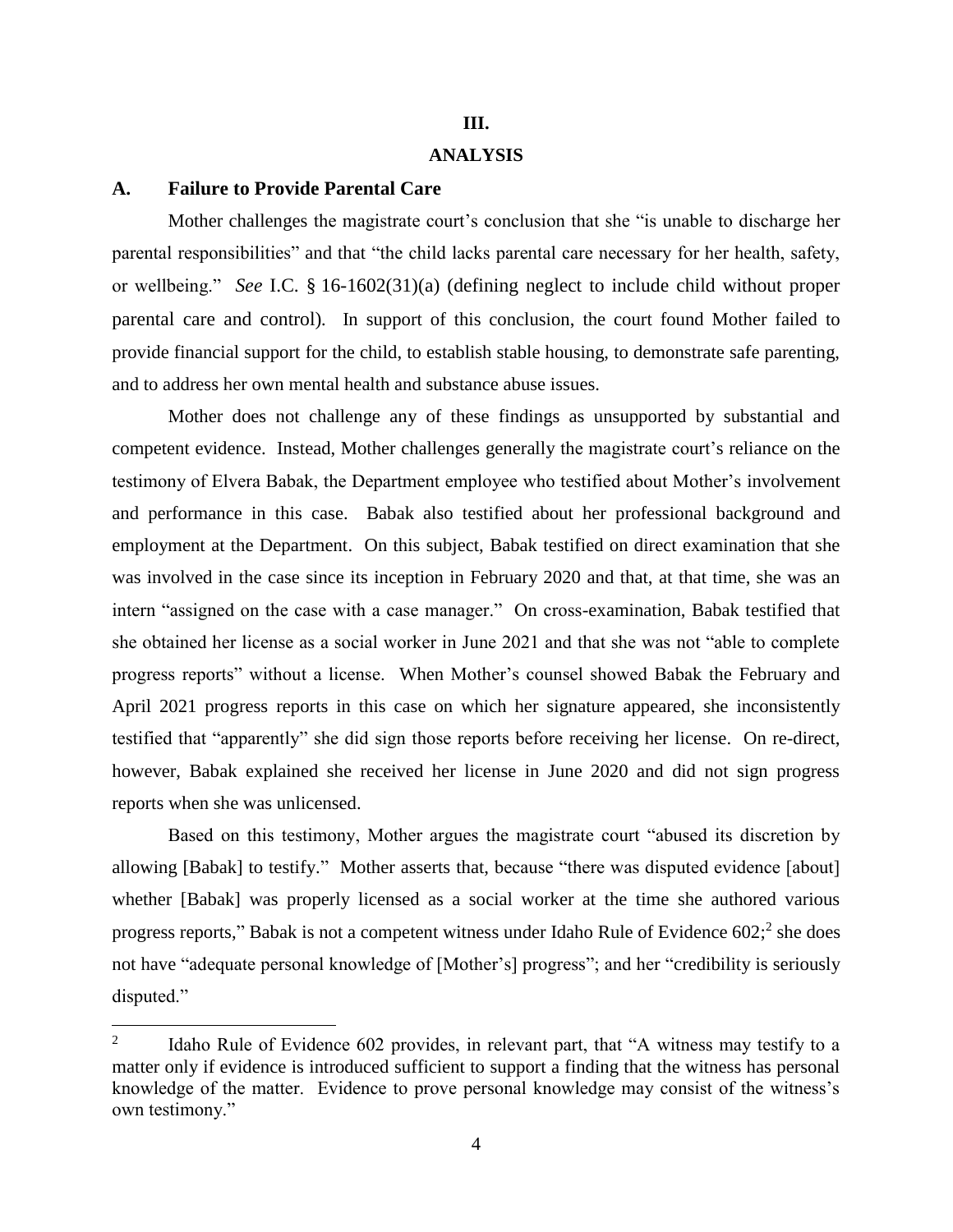# **III. ANALYSIS**

#### **A. Failure to Provide Parental Care**

 $\overline{a}$ 

Mother challenges the magistrate court's conclusion that she "is unable to discharge her parental responsibilities" and that "the child lacks parental care necessary for her health, safety, or wellbeing." *See* I.C. § 16-1602(31)(a) (defining neglect to include child without proper parental care and control)*.* In support of this conclusion, the court found Mother failed to provide financial support for the child, to establish stable housing, to demonstrate safe parenting, and to address her own mental health and substance abuse issues.

Mother does not challenge any of these findings as unsupported by substantial and competent evidence. Instead, Mother challenges generally the magistrate court's reliance on the testimony of Elvera Babak, the Department employee who testified about Mother's involvement and performance in this case. Babak also testified about her professional background and employment at the Department. On this subject, Babak testified on direct examination that she was involved in the case since its inception in February 2020 and that, at that time, she was an intern "assigned on the case with a case manager." On cross-examination, Babak testified that she obtained her license as a social worker in June 2021 and that she was not "able to complete progress reports" without a license. When Mother's counsel showed Babak the February and April 2021 progress reports in this case on which her signature appeared, she inconsistently testified that "apparently" she did sign those reports before receiving her license. On re-direct, however, Babak explained she received her license in June 2020 and did not sign progress reports when she was unlicensed.

Based on this testimony, Mother argues the magistrate court "abused its discretion by allowing [Babak] to testify." Mother asserts that, because "there was disputed evidence [about] whether [Babak] was properly licensed as a social worker at the time she authored various progress reports," Babak is not a competent witness under Idaho Rule of Evidence 602;<sup>2</sup> she does not have "adequate personal knowledge of [Mother's] progress"; and her "credibility is seriously disputed."

<sup>2</sup> Idaho Rule of Evidence 602 provides, in relevant part, that "A witness may testify to a matter only if evidence is introduced sufficient to support a finding that the witness has personal knowledge of the matter. Evidence to prove personal knowledge may consist of the witness's own testimony."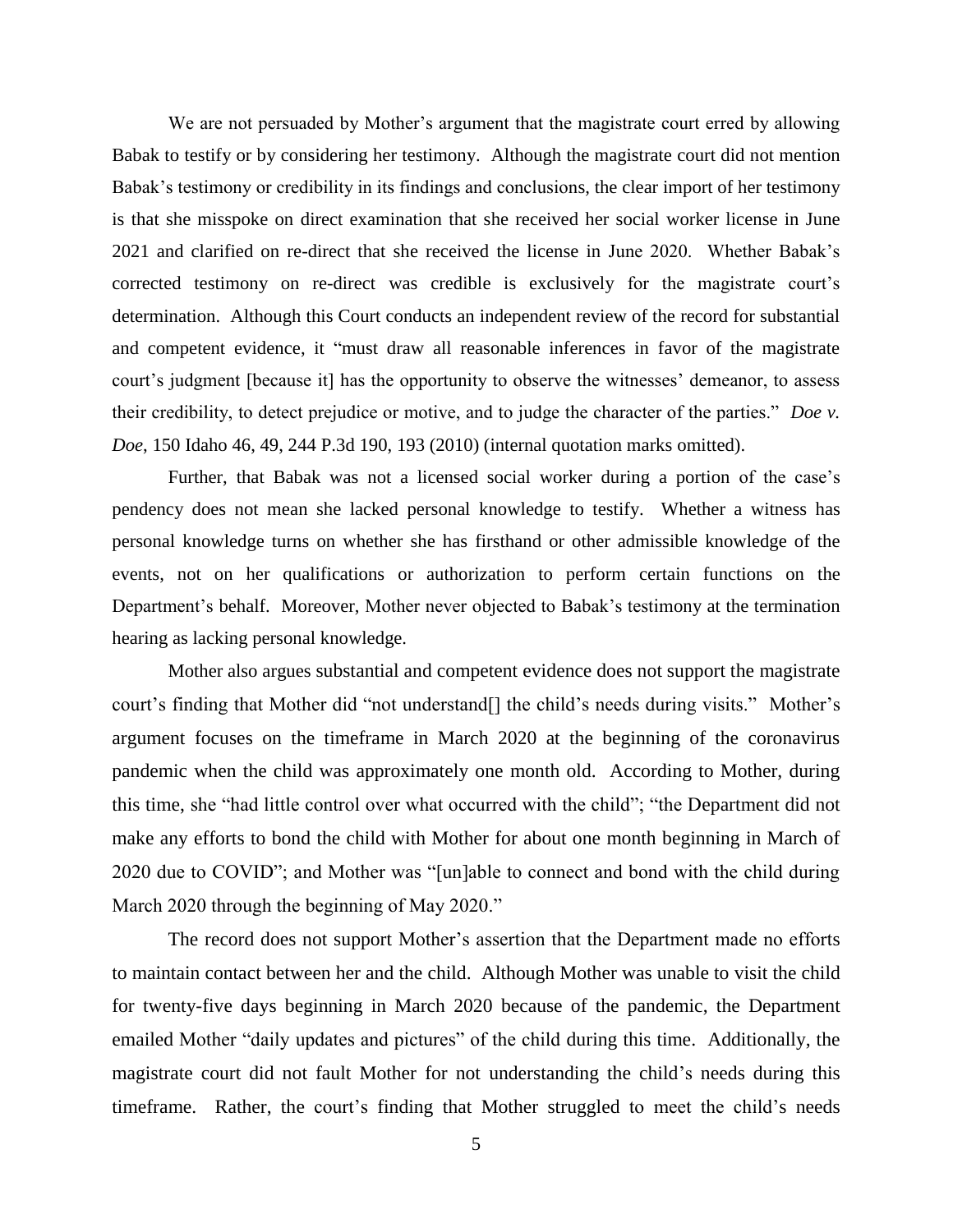We are not persuaded by Mother's argument that the magistrate court erred by allowing Babak to testify or by considering her testimony. Although the magistrate court did not mention Babak's testimony or credibility in its findings and conclusions, the clear import of her testimony is that she misspoke on direct examination that she received her social worker license in June 2021 and clarified on re-direct that she received the license in June 2020. Whether Babak's corrected testimony on re-direct was credible is exclusively for the magistrate court's determination. Although this Court conducts an independent review of the record for substantial and competent evidence, it "must draw all reasonable inferences in favor of the magistrate court's judgment [because it] has the opportunity to observe the witnesses' demeanor, to assess their credibility, to detect prejudice or motive, and to judge the character of the parties." *Doe v. Doe*, 150 Idaho 46, 49, 244 P.3d 190, 193 (2010) (internal quotation marks omitted).

Further, that Babak was not a licensed social worker during a portion of the case's pendency does not mean she lacked personal knowledge to testify. Whether a witness has personal knowledge turns on whether she has firsthand or other admissible knowledge of the events, not on her qualifications or authorization to perform certain functions on the Department's behalf. Moreover, Mother never objected to Babak's testimony at the termination hearing as lacking personal knowledge.

Mother also argues substantial and competent evidence does not support the magistrate court's finding that Mother did "not understand[] the child's needs during visits." Mother's argument focuses on the timeframe in March 2020 at the beginning of the coronavirus pandemic when the child was approximately one month old. According to Mother, during this time, she "had little control over what occurred with the child"; "the Department did not make any efforts to bond the child with Mother for about one month beginning in March of 2020 due to COVID"; and Mother was "[un]able to connect and bond with the child during March 2020 through the beginning of May 2020."

The record does not support Mother's assertion that the Department made no efforts to maintain contact between her and the child. Although Mother was unable to visit the child for twenty-five days beginning in March 2020 because of the pandemic, the Department emailed Mother "daily updates and pictures" of the child during this time. Additionally, the magistrate court did not fault Mother for not understanding the child's needs during this timeframe. Rather, the court's finding that Mother struggled to meet the child's needs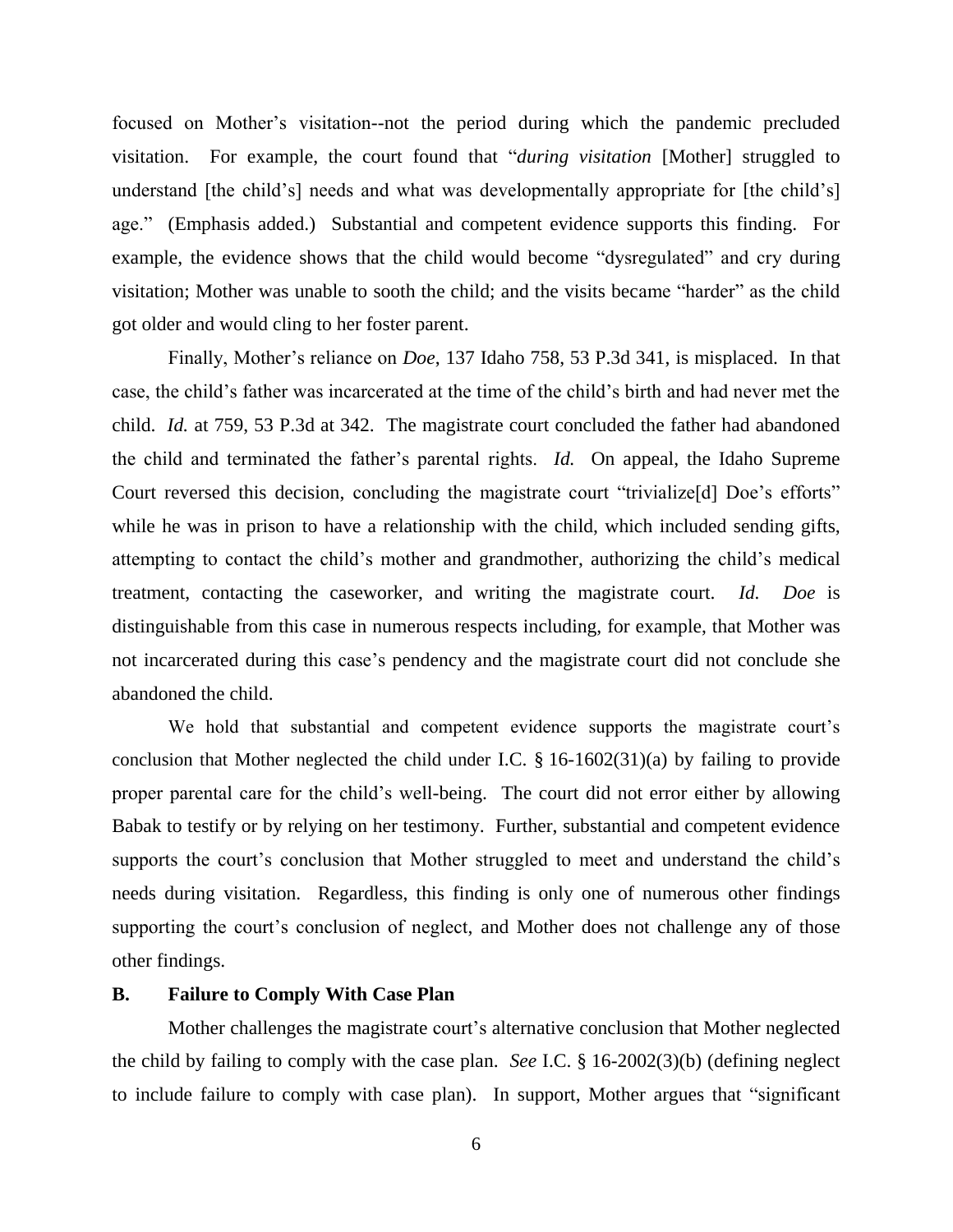focused on Mother's visitation--not the period during which the pandemic precluded visitation. For example, the court found that "*during visitation* [Mother] struggled to understand [the child's] needs and what was developmentally appropriate for [the child's] age." (Emphasis added.) Substantial and competent evidence supports this finding. For example, the evidence shows that the child would become "dysregulated" and cry during visitation; Mother was unable to sooth the child; and the visits became "harder" as the child got older and would cling to her foster parent.

Finally, Mother's reliance on *Doe*, 137 Idaho 758, 53 P.3d 341, is misplaced. In that case, the child's father was incarcerated at the time of the child's birth and had never met the child. *Id.* at 759, 53 P.3d at 342. The magistrate court concluded the father had abandoned the child and terminated the father's parental rights. *Id.* On appeal, the Idaho Supreme Court reversed this decision, concluding the magistrate court "trivialize[d] Doe's efforts" while he was in prison to have a relationship with the child, which included sending gifts, attempting to contact the child's mother and grandmother, authorizing the child's medical treatment, contacting the caseworker, and writing the magistrate court. *Id. Doe* is distinguishable from this case in numerous respects including, for example, that Mother was not incarcerated during this case's pendency and the magistrate court did not conclude she abandoned the child.

We hold that substantial and competent evidence supports the magistrate court's conclusion that Mother neglected the child under I.C. § 16-1602(31)(a) by failing to provide proper parental care for the child's well-being. The court did not error either by allowing Babak to testify or by relying on her testimony. Further, substantial and competent evidence supports the court's conclusion that Mother struggled to meet and understand the child's needs during visitation. Regardless, this finding is only one of numerous other findings supporting the court's conclusion of neglect, and Mother does not challenge any of those other findings.

# **B. Failure to Comply With Case Plan**

Mother challenges the magistrate court's alternative conclusion that Mother neglected the child by failing to comply with the case plan. *See* I.C. § 16-2002(3)(b) (defining neglect to include failure to comply with case plan). In support, Mother argues that "significant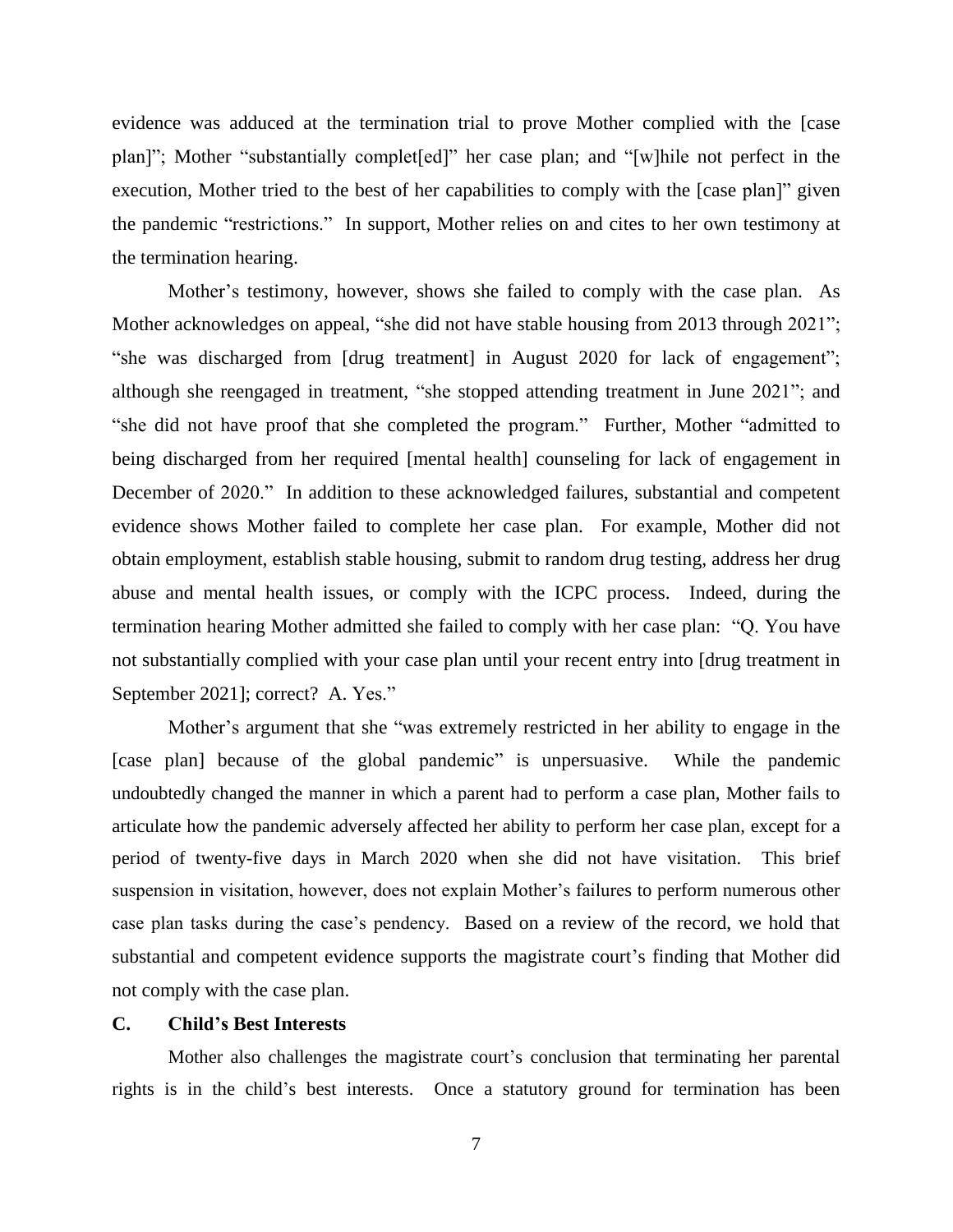evidence was adduced at the termination trial to prove Mother complied with the [case plan]"; Mother "substantially complet[ed]" her case plan; and "[w]hile not perfect in the execution, Mother tried to the best of her capabilities to comply with the [case plan]" given the pandemic "restrictions." In support, Mother relies on and cites to her own testimony at the termination hearing.

Mother's testimony, however, shows she failed to comply with the case plan. As Mother acknowledges on appeal, "she did not have stable housing from 2013 through 2021"; "she was discharged from [drug treatment] in August 2020 for lack of engagement"; although she reengaged in treatment, "she stopped attending treatment in June 2021"; and "she did not have proof that she completed the program." Further, Mother "admitted to being discharged from her required [mental health] counseling for lack of engagement in December of 2020." In addition to these acknowledged failures, substantial and competent evidence shows Mother failed to complete her case plan. For example, Mother did not obtain employment, establish stable housing, submit to random drug testing, address her drug abuse and mental health issues, or comply with the ICPC process. Indeed, during the termination hearing Mother admitted she failed to comply with her case plan: "Q. You have not substantially complied with your case plan until your recent entry into [drug treatment in September 2021]; correct? A. Yes."

Mother's argument that she "was extremely restricted in her ability to engage in the [case plan] because of the global pandemic" is unpersuasive. While the pandemic undoubtedly changed the manner in which a parent had to perform a case plan, Mother fails to articulate how the pandemic adversely affected her ability to perform her case plan, except for a period of twenty-five days in March 2020 when she did not have visitation. This brief suspension in visitation, however, does not explain Mother's failures to perform numerous other case plan tasks during the case's pendency. Based on a review of the record, we hold that substantial and competent evidence supports the magistrate court's finding that Mother did not comply with the case plan.

## **C. Child's Best Interests**

Mother also challenges the magistrate court's conclusion that terminating her parental rights is in the child's best interests. Once a statutory ground for termination has been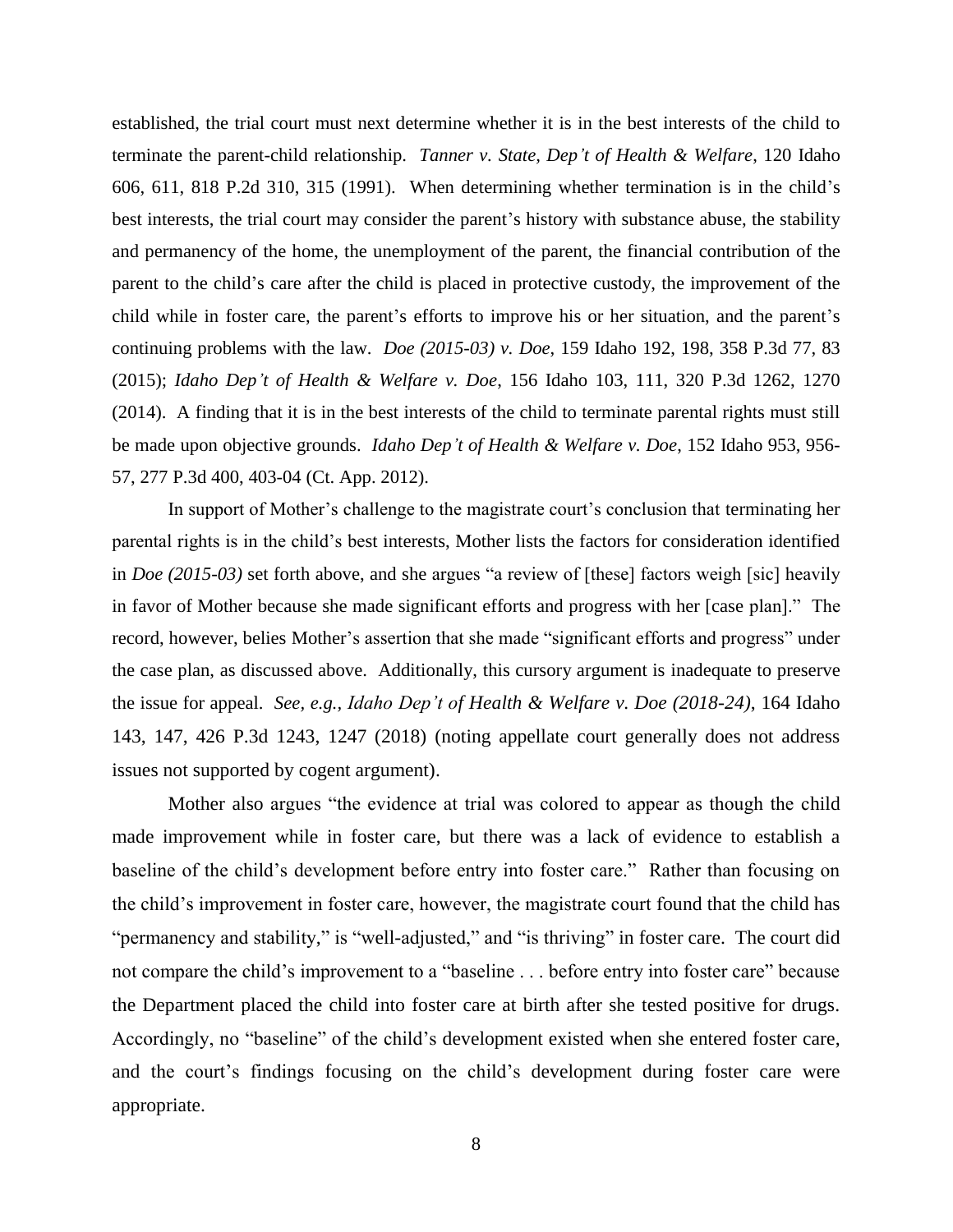established, the trial court must next determine whether it is in the best interests of the child to terminate the parent-child relationship. *Tanner v. State, Dep't of Health & Welfare*, 120 Idaho 606, 611, 818 P.2d 310, 315 (1991). When determining whether termination is in the child's best interests, the trial court may consider the parent's history with substance abuse, the stability and permanency of the home, the unemployment of the parent, the financial contribution of the parent to the child's care after the child is placed in protective custody, the improvement of the child while in foster care, the parent's efforts to improve his or her situation, and the parent's continuing problems with the law. *Doe (2015-03) v. Doe*, 159 Idaho 192, 198, 358 P.3d 77, 83 (2015); *Idaho Dep't of Health & Welfare v. Doe*, 156 Idaho 103, 111, 320 P.3d 1262, 1270 (2014). A finding that it is in the best interests of the child to terminate parental rights must still be made upon objective grounds. *Idaho Dep't of Health & Welfare v. Doe*, 152 Idaho 953, 956- 57, 277 P.3d 400, 403-04 (Ct. App. 2012).

In support of Mother's challenge to the magistrate court's conclusion that terminating her parental rights is in the child's best interests, Mother lists the factors for consideration identified in *Doe (2015-03)* set forth above, and she argues "a review of [these] factors weigh [sic] heavily in favor of Mother because she made significant efforts and progress with her [case plan]." The record, however, belies Mother's assertion that she made "significant efforts and progress" under the case plan, as discussed above. Additionally, this cursory argument is inadequate to preserve the issue for appeal. *See, e.g., Idaho Dep't of Health & Welfare v. Doe (2018-24)*, 164 Idaho 143, 147, 426 P.3d 1243, 1247 (2018) (noting appellate court generally does not address issues not supported by cogent argument).

Mother also argues "the evidence at trial was colored to appear as though the child made improvement while in foster care, but there was a lack of evidence to establish a baseline of the child's development before entry into foster care." Rather than focusing on the child's improvement in foster care, however, the magistrate court found that the child has "permanency and stability," is "well-adjusted," and "is thriving" in foster care. The court did not compare the child's improvement to a "baseline . . . before entry into foster care" because the Department placed the child into foster care at birth after she tested positive for drugs. Accordingly, no "baseline" of the child's development existed when she entered foster care, and the court's findings focusing on the child's development during foster care were appropriate.